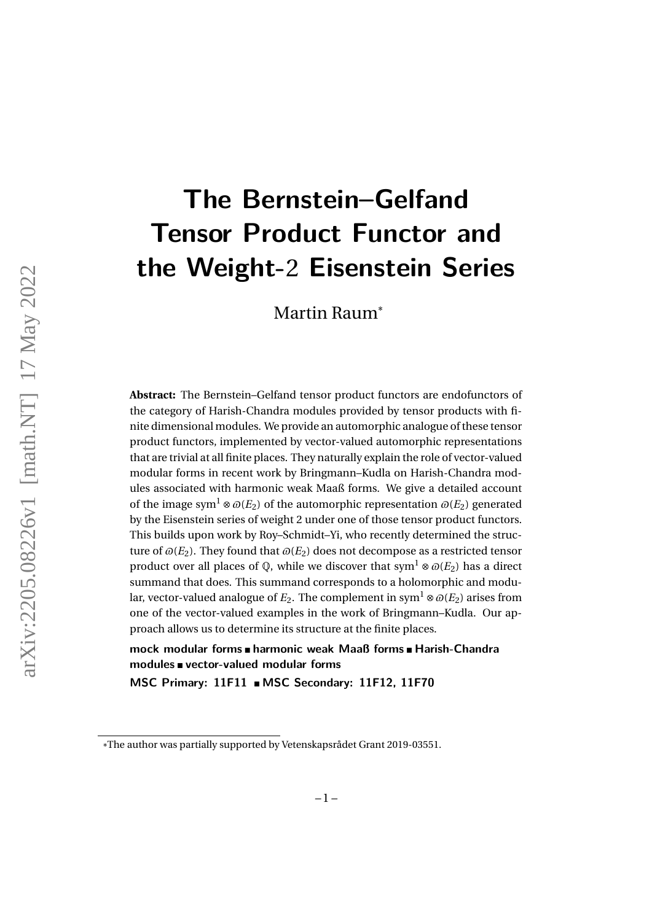# **The Bernstein–Gelfand Tensor Product Functor and the Weight-**2 **Eisenstein Series**

Martin Raum\*

**Abstract:** The Bernstein–Gelfand tensor product functors are endofunctors of the category of Harish-Chandra modules provided by tensor products with finite dimensional modules. We provide an automorphic analogue of these tensor product functors, implemented by vector-valued automorphic representations that are trivial at all finite places. They naturally explain the role of vector-valued modular forms in recent work by Bringmann–Kudla on Harish-Chandra modules associated with harmonic weak Maaß forms. We give a detailed account of the image sym<sup>1</sup> ⊗  $\omega(E_2)$  of the automorphic representation  $\omega(E_2)$  generated by the Eisenstein series of weight 2 under one of those tensor product functors. This builds upon work by Roy–Schmidt–Yi, who recently determined the structure of  $\omega(E_2)$ . They found that  $\omega(E_2)$  does not decompose as a restricted tensor product over all places of  $\mathbb Q$ , while we discover that sym<sup>1</sup> ⊗  $\mathcal O(E_2)$  has a direct summand that does. This summand corresponds to a holomorphic and modular, vector-valued analogue of  $E_2$ . The complement in sym<sup>1</sup> ⊗  $\varpi(E_2)$  arises from one of the vector-valued examples in the work of Bringmann–Kudla. Our approach allows us to determine its structure at the finite places.

**mock modular forms harmonic weak Maaß forms Harish-Chandra modules vector-valued modular forms**

**MSC Primary: 11F11 MSC Secondary: 11F12, 11F70**

<sup>\*</sup>The author was partially supported by Vetenskapsrådet Grant 2019-03551.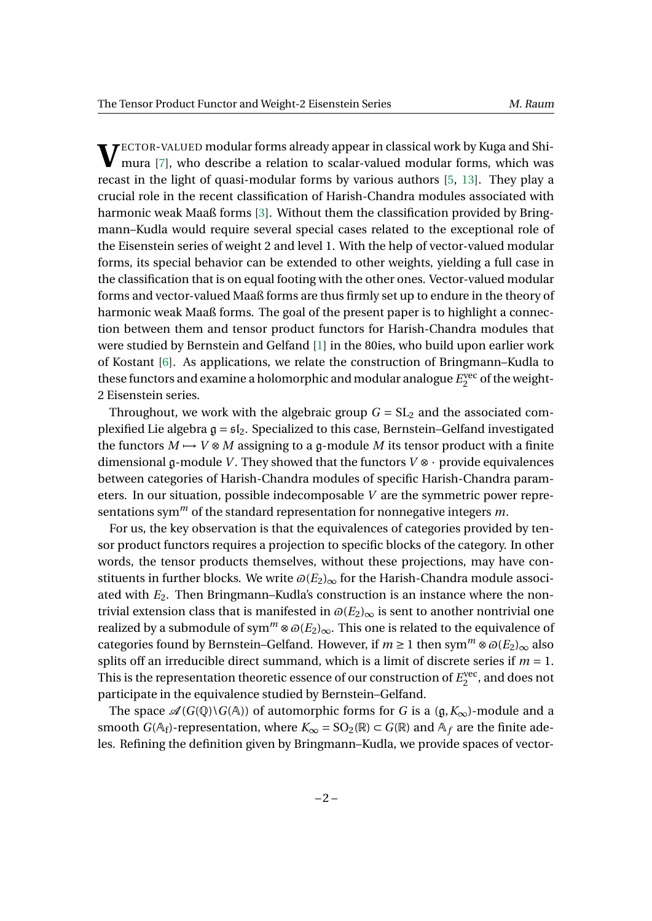**V**ECTOR-VALUED modular forms already appear in classical work by Kuga and Shi-<br>mura [7], who describe a relation to scalar-valued modular forms, which was mura [\[7\]](#page-19-0), who describe a relation to scalar-valued modular forms, which was recast in the light of quasi-modular forms by various authors [\[5,](#page-19-1) [13\]](#page-19-2). They play a crucial role in the recent classification of Harish-Chandra modules associated with harmonic weak Maaß forms [\[3\]](#page-19-3). Without them the classification provided by Bringmann–Kudla would require several special cases related to the exceptional role of the Eisenstein series of weight 2 and level 1. With the help of vector-valued modular forms, its special behavior can be extended to other weights, yielding a full case in the classification that is on equal footing with the other ones. Vector-valued modular forms and vector-valued Maaß forms are thus firmly set up to endure in the theory of harmonic weak Maaß forms. The goal of the present paper is to highlight a connection between them and tensor product functors for Harish-Chandra modules that were studied by Bernstein and Gelfand [\[1\]](#page-19-4) in the 80ies, who build upon earlier work of Kostant [\[6\]](#page-19-5). As applications, we relate the construction of Bringmann–Kudla to these functors and examine a holomorphic and modular analogue *E* vec  $\frac{1}{2}$  of the weight-2 Eisenstein series.

Throughout, we work with the algebraic group  $G = SL_2$  and the associated complexified Lie algebra  $g = \frac{1}{2}$ . Specialized to this case, Bernstein–Gelfand investigated the functors  $M \rightarrow V \otimes M$  assigning to a g-module *M* its tensor product with a finite dimensional g-module *V*. They showed that the functors  $V \otimes \cdot$  provide equivalences between categories of Harish-Chandra modules of specific Harish-Chandra parameters. In our situation, possible indecomposable *V* are the symmetric power representations sym*<sup>m</sup>* of the standard representation for nonnegative integers *m*.

For us, the key observation is that the equivalences of categories provided by tensor product functors requires a projection to specific blocks of the category. In other words, the tensor products themselves, without these projections, may have constituents in further blocks. We write  $\omega(E_2)_{\infty}$  for the Harish-Chandra module associated with *E*2. Then Bringmann–Kudla's construction is an instance where the nontrivial extension class that is manifested in  $\omega(E_2)_{\infty}$  is sent to another nontrivial one realized by a submodule of sym<sup>*m*</sup> ⊗  $\omega(E_2)_{\infty}$ . This one is related to the equivalence of categories found by Bernstein–Gelfand. However, if  $m \ge 1$  then sym<sup>*m*</sup> ⊗  $\mathcal{O}(E_2)_{\infty}$  also splits off an irreducible direct summand, which is a limit of discrete series if  $m = 1$ . This is the representation theoretic essence of our construction of  $E_2^{\text{vec}}$  $2^{\text{vec}}$ , and does not participate in the equivalence studied by Bernstein–Gelfand.

The space  $\mathcal{A}(G(\mathbb{Q})\backslash G(\mathbb{A}))$  of automorphic forms for *G* is a  $(\mathfrak{g}, K_{\infty})$ -module and a smooth *G*( $A_f$ )-representation, where  $K_\infty$  = SO<sub>2</sub>( $\mathbb{R}$ )  $\subset$  *G*( $\mathbb{R}$ ) and  $A_f$  are the finite adeles. Refining the definition given by Bringmann–Kudla, we provide spaces of vector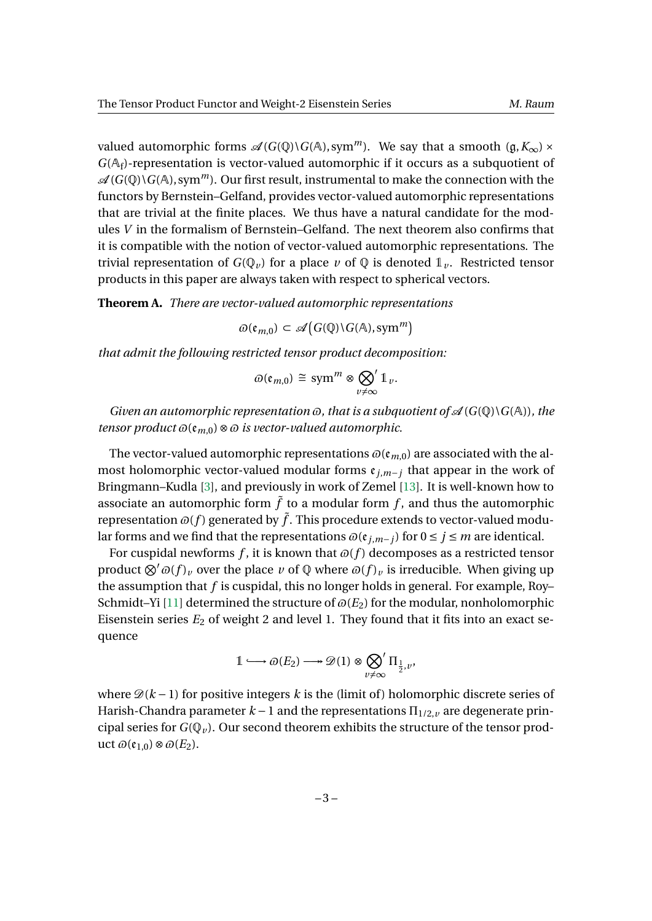valued automorphic forms  $\mathcal{A}(G(\mathbb{Q})\backslash G(\mathbb{A}), \text{sym}^m)$ . We say that a smooth  $(\mathfrak{g}, K_{\infty}) \times$  $G(\mathbb{A}_f)$ -representation is vector-valued automorphic if it occurs as a subquotient of  $\mathscr{A}(G(\mathbb{Q})\backslash G(\mathbb{A}), \text{sym}^m)$ . Our first result, instrumental to make the connection with the functors by Bernstein–Gelfand, provides vector-valued automorphic representations that are trivial at the finite places. We thus have a natural candidate for the modules *V* in the formalism of Bernstein–Gelfand. The next theorem also confirms that it is compatible with the notion of vector-valued automorphic representations. The trivial representation of  $G(\mathbb{Q}_v)$  for a place v of  $\mathbb{Q}$  is denoted  $\mathbb{1}_v$ . Restricted tensor products in this paper are always taken with respect to spherical vectors.

<span id="page-2-1"></span>**Theorem A.** *There are vector-valued automorphic representations*

$$
\varpi(\mathfrak{e}_{m,0}) \subset \mathscr{A}\big(G(\mathbb{Q})\backslash G(\mathbb{A}),\text{sym}^m\big)
$$

*that admit the following restricted tensor product decomposition:*

$$
\varpi(\mathfrak{e}_{m,0}) \cong \operatorname{sym}^m \otimes \bigotimes_{v \neq \infty} 1_v.
$$

*Given an automorphic representation*  $\varpi$ *, that is a subquotient of*  $\mathcal{A}(G(\mathbb{Q})\backslash G(\mathbb{A}))$ *, the tensor product*  $\omega(\mathfrak{e}_{m,0}) \otimes \omega$  *is vector-valued automorphic.* 

The vector-valued automorphic representations  $\omega(\mathfrak{e}_{m,0})$  are associated with the almost holomorphic vector-valued modular forms  $e_{j,m-j}$  that appear in the work of Bringmann–Kudla [\[3\]](#page-19-3), and previously in work of Zemel [\[13\]](#page-19-2). It is well-known how to associate an automorphic form  $\tilde{f}$  to a modular form  $f$ , and thus the automorphic representation  $\omega(f)$  generated by  $\tilde{f}$ . This procedure extends to vector-valued modular forms and we find that the representations  $\omega$ ( $e$ <sub>*j*,*m*−*j*</sub>) for 0 ≤ *j* ≤ *m* are identical.

For cuspidal newforms  $f$ , it is known that  $\varpi(f)$  decomposes as a restricted tensor product  $\otimes' \varpi(f)_v$  over the place *v* of  $\mathbb Q$  where  $\varpi(f)_v$  is irreducible. When giving up the assumption that *f* is cuspidal, this no longer holds in general. For example, Roy– Schmidt–Yi [\[11\]](#page-19-6) determined the structure of  $\varpi(E_2)$  for the modular, nonholomorphic Eisenstein series  $E_2$  of weight 2 and level 1. They found that it fits into an exact sequence

<span id="page-2-0"></span>
$$
1\longmapsto \varpi(E_2)\longrightarrow \mathscr{D}(1)\otimes \bigotimes_{v\neq \infty}^{} \Pi_{\frac{1}{2},v},
$$

where  $\mathcal{D}(k-1)$  for positive integers k is the (limit of) holomorphic discrete series of Harish-Chandra parameter  $k-1$  and the representations  $\Pi_{1/2,\nu}$  are degenerate principal series for  $G(\mathbb{Q}_v)$ . Our second theorem exhibits the structure of the tensor prod- $\text{uct } ∅(ε_{1,0}) ⊗ ∅(E_2)$ .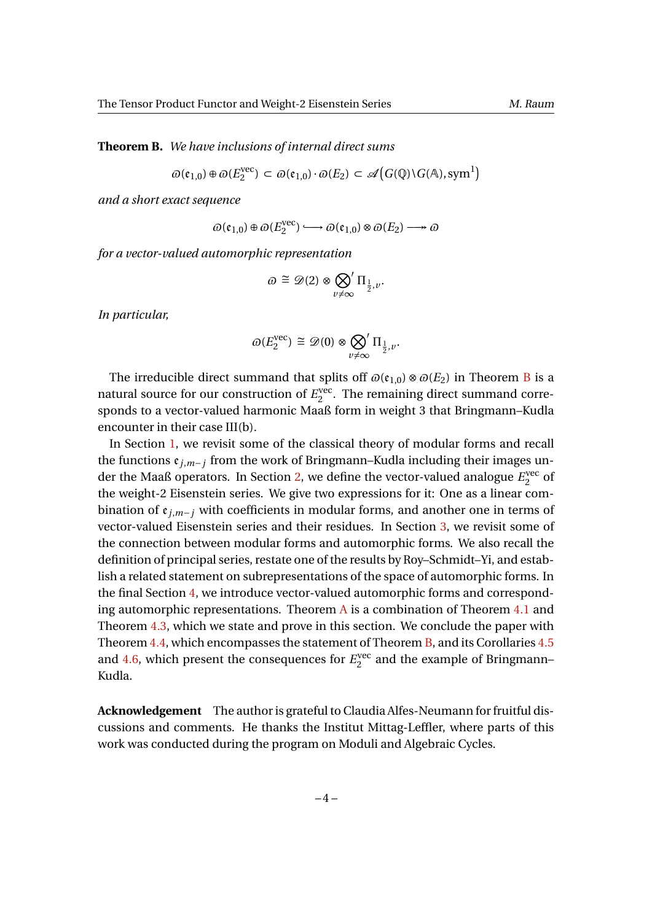**Theorem B.** *We have inclusions of internal direct sums*

$$
\varpi(\mathfrak{e}_{1,0}) \oplus \varpi(E_2^{\text{vec}}) \subset \varpi(\mathfrak{e}_{1,0}) \cdot \varpi(E_2) \subset \mathscr{A}\big(G(\mathbb{Q}) \backslash G(\mathbb{A}), \text{sym}^1\big)
$$

*and a short exact sequence*

$$
\varpi(\mathfrak{e}_{1,0})\oplus \varpi(E_2^{\text{vec}})\longrightarrow \varpi(\mathfrak{e}_{1,0})\otimes \varpi(E_2)\longrightarrow \varpi
$$

*for a vector-valued automorphic representation*

$$
\varpi \cong \mathscr{D}(2) \otimes \bigotimes_{v \neq \infty} \Pi_{\frac{1}{2},v}.
$$

*In particular,*

$$
\varpi(E_2^{\text{vec}}) \cong \mathscr{D}(0) \otimes \bigotimes_{v \neq \infty} \Pi_{\frac{1}{2},v}.
$$

The irreducible direct summand that splits off  $\omega(\mathfrak{e}_{1,0}) \otimes \omega(E_2)$  in Theorem [B](#page-2-0) is a natural source for our construction of  $E_2^{\text{vec}}$  $2^{\text{vec}}$ . The remaining direct summand corresponds to a vector-valued harmonic Maaß form in weight 3 that Bringmann–Kudla encounter in their case III(b).

In Section [1,](#page-4-0) we revisit some of the classical theory of modular forms and recall the functions e*<sup>j</sup>*,*m*−*<sup>j</sup>* from the work of Bringmann–Kudla including their images un-der the Maaß operators. In Section [2,](#page-7-0) we define the vector-valued analogue  $E_2^{\text{vec}}$  $\frac{1}{2}$  of the weight-2 Eisenstein series. We give two expressions for it: One as a linear combination of  $\mathfrak{e}_{i,m-i}$  with coefficients in modular forms, and another one in terms of vector-valued Eisenstein series and their residues. In Section [3,](#page-11-0) we revisit some of the connection between modular forms and automorphic forms. We also recall the definition of principal series, restate one of the results by Roy–Schmidt–Yi, and establish a related statement on subrepresentations of the space of automorphic forms. In the final Section [4,](#page-14-0) we introduce vector-valued automorphic forms and corresponding automorphic representations. Theorem  $\overline{A}$  $\overline{A}$  $\overline{A}$  is a combination of Theorem [4.1](#page-15-0) and Theorem [4.3,](#page-16-0) which we state and prove in this section. We conclude the paper with Theorem [4.4,](#page-17-0) which encompasses the statement of Theorem [B,](#page-2-0) and its Corollaries [4.5](#page-17-1) and  $4.6$ , which present the consequences for  $E_2^{\text{vec}}$  $2^{\text{vec}}$  and the example of Bringmann– Kudla.

**Acknowledgement** The author is grateful to Claudia Alfes-Neumann for fruitful discussions and comments. He thanks the Institut Mittag-Leffler, where parts of this work was conducted during the program on Moduli and Algebraic Cycles.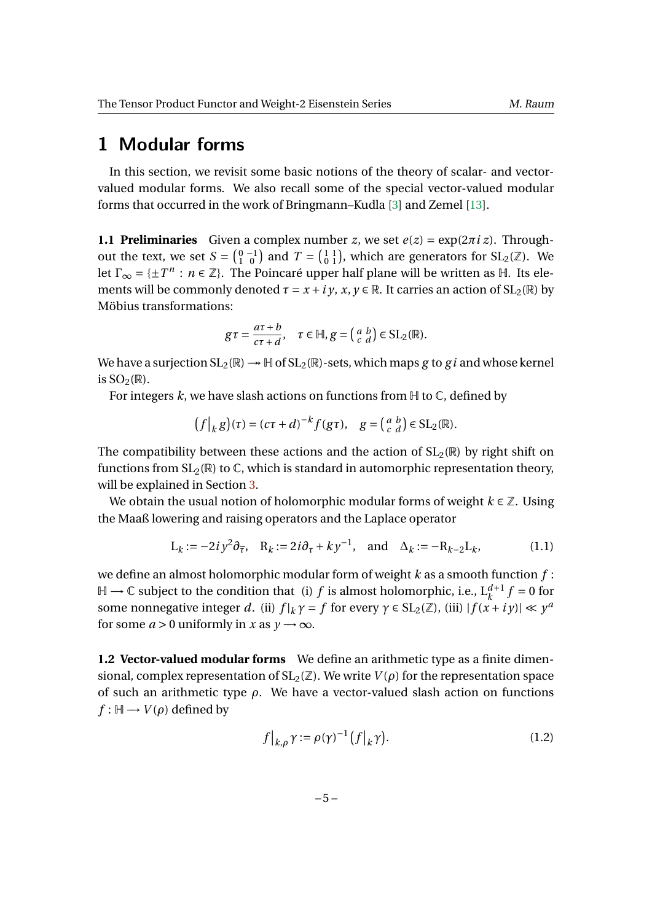# <span id="page-4-0"></span>**1 Modular forms**

In this section, we revisit some basic notions of the theory of scalar- and vectorvalued modular forms. We also recall some of the special vector-valued modular forms that occurred in the work of Bringmann–Kudla [\[3\]](#page-19-3) and Zemel [\[13\]](#page-19-2).

**1.1 Preliminaries** Given a complex number *z*, we set  $e(z) = \exp(2\pi i z)$ . Throughout the text, we set  $S = \begin{pmatrix} 0 & -1 \\ 1 & 0 \end{pmatrix}$  and  $T = \begin{pmatrix} 1 & 1 \\ 0 & 1 \end{pmatrix}$ , which are generators for  $SL_2(\mathbb{Z})$ . We let  $\Gamma_{\infty} = \{\pm T^n : n \in \mathbb{Z}\}\$ . The Poincaré upper half plane will be written as  $\mathbb{H}$ . Its elements will be commonly denoted  $\tau = x + i y$ ,  $x, y \in \mathbb{R}$ . It carries an action of SL<sub>2</sub>( $\mathbb{R}$ ) by Möbius transformations:

$$
g\tau = \frac{a\tau + b}{c\tau + d}, \quad \tau \in \mathbb{H}, g = \begin{pmatrix} a & b \\ c & d \end{pmatrix} \in SL_2(\mathbb{R}).
$$

We have a surjection  $SL_2(\mathbb{R}) \rightarrow \mathbb{H}$  of  $SL_2(\mathbb{R})$ -sets, which maps *g* to *gi* and whose kernel is  $SO_2(\mathbb{R})$ .

For integers  $k$ , we have slash actions on functions from  $H$  to  $\mathbb C$ , defined by

$$
(f|_k g)(\tau) = (c\tau + d)^{-k} f(g\tau), \quad g = \begin{pmatrix} a & b \\ c & d \end{pmatrix} \in SL_2(\mathbb{R}).
$$

The compatibility between these actions and the action of  $SL_2(\mathbb{R})$  by right shift on functions from  $SL_2(\mathbb{R})$  to  $\mathbb{C}$ , which is standard in automorphic representation theory, will be explained in Section [3.](#page-11-0)

We obtain the usual notion of holomorphic modular forms of weight  $k \in \mathbb{Z}$ . Using the Maaß lowering and raising operators and the Laplace operator

$$
L_k := -2i y^2 \partial_{\overline{\tau}}, \quad R_k := 2i \partial_{\tau} + k y^{-1}, \quad \text{and} \quad \Delta_k := -R_{k-2} L_k,
$$
 (1.1)

we define an almost holomorphic modular form of weight *k* as a smooth function *f* :  $\mathbb{H}$  →  $\mathbb C$  subject to the condition that (i) *f* is almost holomorphic, i.e.,  $L_k^{d+1} f = 0$  for some nonnegative integer *d*. (ii)  $f|_k \gamma = f$  for every  $\gamma \in SL_2(\mathbb{Z})$ , (iii)  $|f(x + iy)| \ll y^a$ for some  $a > 0$  uniformly in *x* as  $y \rightarrow \infty$ .

**1.2 Vector-valued modular forms** We define an arithmetic type as a finite dimensional, complex representation of  $SL_2(\mathbb{Z})$ . We write  $V(\rho)$  for the representation space of such an arithmetic type *ρ*. We have a vector-valued slash action on functions *f* :  $H$  → *V*( $\rho$ ) defined by

<span id="page-4-1"></span>
$$
f|_{k,\rho}\gamma := \rho(\gamma)^{-1} \left(f|_{k}\gamma\right). \tag{1.2}
$$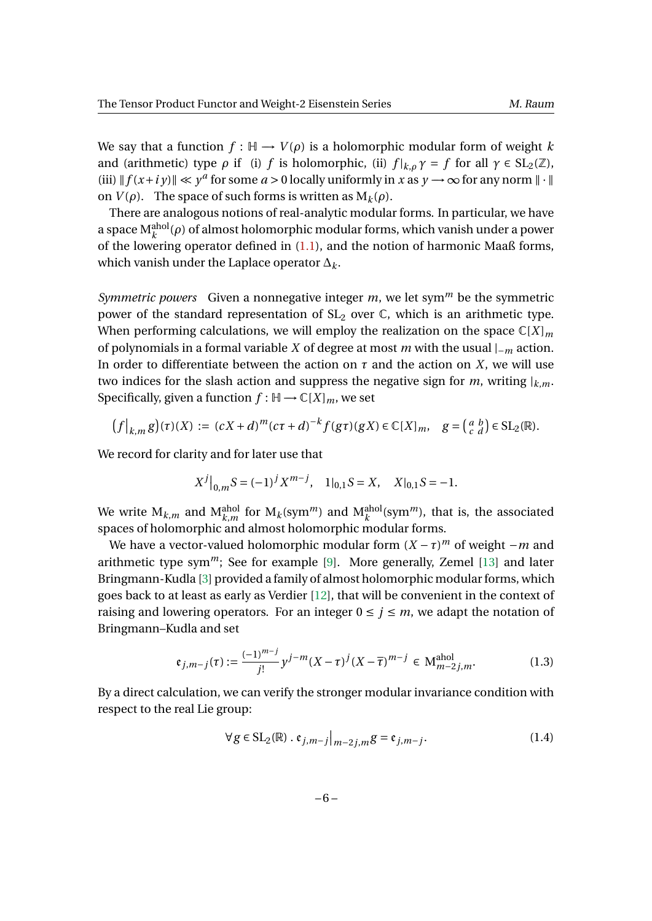We say that a function  $f : \mathbb{H} \to V(\rho)$  is a holomorphic modular form of weight k and (arithmetic) type *ρ* if (i) *f* is holomorphic, (ii)  $f|_{k,0}\gamma = f$  for all  $\gamma \in SL_2(\mathbb{Z})$ , (iii)  $\|f(x+iy)\| \ll y^a$  for some  $a > 0$  locally uniformly in *x* as  $y \to \infty$  for any norm  $\|\cdot\|$ on  $V(\rho)$ . The space of such forms is written as  $M_k(\rho)$ .

There are analogous notions of real-analytic modular forms. In particular, we have a space  $\mathrm{M}^\mathrm{ahol}_k(\rho)$  of almost holomorphic modular forms, which vanish under a power of the lowering operator defined in  $(1.1)$ , and the notion of harmonic Maaß forms, which vanish under the Laplace operator ∆*k*.

*Symmetric powers* Given a nonnegative integer *m*, we let sym*<sup>m</sup>* be the symmetric power of the standard representation of  $SL_2$  over  $\mathbb{C}$ , which is an arithmetic type. When performing calculations, we will employ the realization on the space  $\mathbb{C}[X]_m$ of polynomials in a formal variable *X* of degree at most *m* with the usual |−*<sup>m</sup>* action. In order to differentiate between the action on  $\tau$  and the action on *X*, we will use two indices for the slash action and suppress the negative sign for *m*, writing  $|_{k,m}$ . Specifically, given a function  $f : \mathbb{H} \to \mathbb{C}[X]_m$ , we set

$$
\left(f\big|_{k,m}g\right)(\tau)(X) := (cX+d)^m(c\tau+d)^{-k}f(g\tau)(gX) \in \mathbb{C}[X]_m, \quad g = \begin{pmatrix} a & b \\ c & d \end{pmatrix} \in \text{SL}_2(\mathbb{R}).
$$

We record for clarity and for later use that

$$
X^j\big|_{0,m} S = (-1)^j X^{m-j}, \quad 1|_{0,1} S = X, \quad X|_{0,1} S = -1.
$$

We write  $\mathrm{M}_{k,m}$  and  $\mathrm{M}_{k,m}^{\rm ahol}$  for  $\mathrm{M}_k(\mathrm{sym}^m)$  and  $\mathrm{M}_k^{\rm ahol}(\mathrm{sym}^m)$ , that is, the associated spaces of holomorphic and almost holomorphic modular forms.

We have a vector-valued holomorphic modular form  $(X - \tau)^m$  of weight  $-m$  and arithmetic type sym<sup>*m*</sup>; See for example [\[9\]](#page-19-7). More generally, Zemel [\[13\]](#page-19-2) and later Bringmann-Kudla [\[3\]](#page-19-3) provided a family of almost holomorphic modular forms, which goes back to at least as early as Verdier [\[12\]](#page-19-8), that will be convenient in the context of raising and lowering operators. For an integer  $0 \le j \le m$ , we adapt the notation of Bringmann–Kudla and set

$$
\mathfrak{e}_{j,m-j}(\tau) := \frac{(-1)^{m-j}}{j!} y^{j-m} (X - \tau)^j (X - \overline{\tau})^{m-j} \in \mathcal{M}_{m-2j,m}^{\text{ahol}}.
$$
 (1.3)

By a direct calculation, we can verify the stronger modular invariance condition with respect to the real Lie group:

<span id="page-5-1"></span><span id="page-5-0"></span>
$$
\forall g \in SL_2(\mathbb{R}) \cdot \mathfrak{e}_{j,m-j} \big|_{m-2j,m} g = \mathfrak{e}_{j,m-j}.
$$
 (1.4)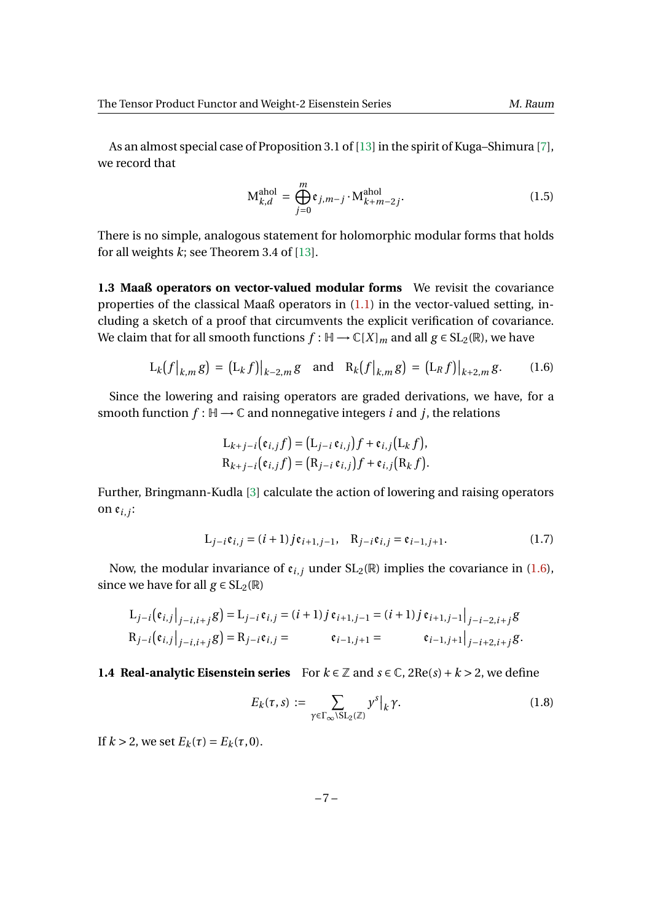As an almost special case of Proposition 3.1 of [\[13\]](#page-19-2) in the spirit of Kuga–Shimura [\[7\]](#page-19-0), we record that

<span id="page-6-2"></span>
$$
\mathbf{M}_{k,d}^{\text{ahol}} = \bigoplus_{j=0}^{m} \mathfrak{e}_{j,m-j} \cdot \mathbf{M}_{k+m-2j}^{\text{ahol}}.
$$
 (1.5)

There is no simple, analogous statement for holomorphic modular forms that holds for all weights *k*; see Theorem 3.4 of [\[13\]](#page-19-2).

**1.3 Maaß operators on vector-valued modular forms** We revisit the covariance properties of the classical Maaß operators in [\(1.1\)](#page-4-1) in the vector-valued setting, including a sketch of a proof that circumvents the explicit verification of covariance. We claim that for all smooth functions  $f : \mathbb{H} \to \mathbb{C}[X]_m$  and all  $g \in SL_2(\mathbb{R})$ , we have

$$
L_k(f|_{k,m}g) = (L_k f)|_{k-2,m} g \text{ and } R_k(f|_{k,m}g) = (L_R f)|_{k+2,m} g. \quad (1.6)
$$

Since the lowering and raising operators are graded derivations, we have, for a smooth function  $f : \mathbb{H} \to \mathbb{C}$  and nonnegative integers *i* and *j*, the relations

<span id="page-6-0"></span>
$$
L_{k+j-i}(\mathfrak{e}_{i,j}f) = (L_{j-i} \mathfrak{e}_{i,j})f + \mathfrak{e}_{i,j}(L_k f),
$$
  
\n
$$
R_{k+j-i}(\mathfrak{e}_{i,j}f) = (R_{j-i} \mathfrak{e}_{i,j})f + \mathfrak{e}_{i,j}(R_k f).
$$

Further, Bringmann-Kudla [\[3\]](#page-19-3) calculate the action of lowering and raising operators on e*<sup>i</sup>*,*<sup>j</sup>* :

$$
L_{j-i}e_{i,j} = (i+1)je_{i+1,j-1}, R_{j-i}e_{i,j} = e_{i-1,j+1}.
$$
 (1.7)

Now, the modular invariance of  $\mathfrak{e}_{i,j}$  under  $SL_2(\mathbb{R})$  implies the covariance in [\(1.6\)](#page-6-0), since we have for all  $g \in SL_2(\mathbb{R})$ 

$$
L_{j-i}(\mathfrak{e}_{i,j}|_{j-i,i+j}g) = L_{j-i}\mathfrak{e}_{i,j} = (i+1)j\mathfrak{e}_{i+1,j-1} = (i+1)j\mathfrak{e}_{i+1,j-1}|_{j-i-2,i+j}g
$$
  
\n
$$
R_{j-i}(\mathfrak{e}_{i,j}|_{j-i,i+j}g) = R_{j-i}\mathfrak{e}_{i,j} = \mathfrak{e}_{i-1,j+1} = \mathfrak{e}_{i-1,j+1}|_{j-i+2,i+j}g.
$$

#### <span id="page-6-1"></span>**1.4 Real-analytic Eisenstein series** For  $k \in \mathbb{Z}$  and  $s \in \mathbb{C}$ , 2Re(*s*) +  $k > 2$ , we define

$$
E_k(\tau, s) := \sum_{\gamma \in \Gamma_\infty \backslash \mathrm{SL}_2(\mathbb{Z})} y^s \big|_k \gamma. \tag{1.8}
$$

If  $k > 2$ , we set  $E_k(\tau) = E_k(\tau, 0)$ .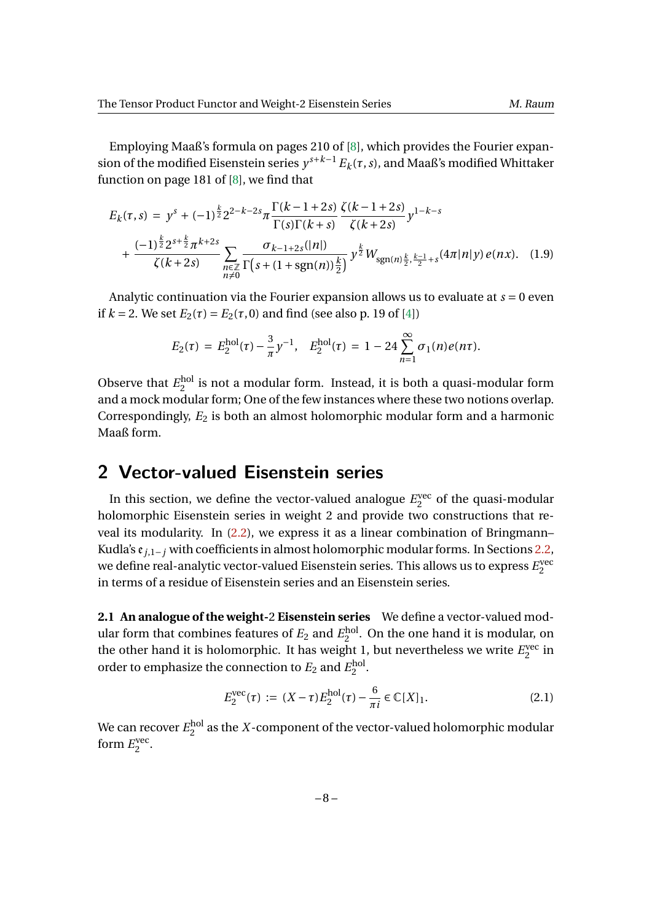Employing Maaß's formula on pages 210 of [\[8\]](#page-19-9), which provides the Fourier expansion of the modified Eisenstein series  $y^{s+k-1} E_k(\tau,s)$ , and Maaß's modified Whittaker function on page 181 of [\[8\]](#page-19-9), we find that

$$
E_k(\tau, s) = y^s + (-1)^{\frac{k}{2}} 2^{2-k-2s} \pi \frac{\Gamma(k-1+2s)}{\Gamma(s)\Gamma(k+s)} \frac{\zeta(k-1+2s)}{\zeta(k+2s)} y^{1-k-s}
$$
  
+ 
$$
\frac{(-1)^{\frac{k}{2}} 2^{s+\frac{k}{2}} \pi^{k+2s}}{\zeta(k+2s)} \sum_{\substack{n \in \mathbb{Z} \\ n \neq 0}} \frac{\sigma_{k-1+2s}(|n|)}{\Gamma(s+(1+\text{sgn}(n))\frac{k}{2})} y^{\frac{k}{2}} W_{\text{sgn}(n)\frac{k}{2}, \frac{k-1}{2}+s} (4\pi |n|y) e(nx). \quad (1.9)
$$

Analytic continuation via the Fourier expansion allows us to evaluate at *s* = 0 even if  $k = 2$ . We set  $E_2(\tau) = E_2(\tau, 0)$  and find (see also p. 19 of [\[4\]](#page-19-10))

<span id="page-7-2"></span>
$$
E_2(\tau) = E_2^{\text{hol}}(\tau) - \frac{3}{\pi} y^{-1}, \quad E_2^{\text{hol}}(\tau) = 1 - 24 \sum_{n=1}^{\infty} \sigma_1(n) e(n\tau).
$$

Observe that  $E_2^{\text{hol}}$  $_2^{\text{no}}$  is not a modular form. Instead, it is both a quasi-modular form and a mock modular form; One of the few instances where these two notions overlap. Correspondingly,  $E_2$  is both an almost holomorphic modular form and a harmonic Maaß form.

## <span id="page-7-0"></span>**2 Vector-valued Eisenstein series**

In this section, we define the vector-valued analogue  $E_2^{\text{vec}}$  $2^{\text{vec}}$  of the quasi-modular holomorphic Eisenstein series in weight 2 and provide two constructions that reveal its modularity. In [\(2.2\)](#page-8-0), we express it as a linear combination of Bringmann– Kudla's e*<sup>j</sup>*,1−*<sup>j</sup>* with coefficients in almost holomorphic modular forms. In Sections [2.2,](#page-8-1) we define real-analytic vector-valued Eisenstein series. This allows us to express  $E_2^{\rm vec}$ 2 in terms of a residue of Eisenstein series and an Eisenstein series.

**2.1 An analogue of the weight-**2 **Eisenstein series** We define a vector-valued modular form that combines features of  $E_2$  and  $E_2^{\text{hol}}$  $_{2}^{\text{no}}$ . On the one hand it is modular, on the other hand it is holomorphic. It has weight 1, but nevertheless we write  $E_2^{\text{vec}}$  $_2^{\mathrm{vec}}$  in order to emphasize the connection to  $E_2$  and  $E_2^{\rm hol}$ noi<br>2

<span id="page-7-1"></span>
$$
E_2^{\text{vec}}(\tau) := (X - \tau) E_2^{\text{hol}}(\tau) - \frac{6}{\pi i} \in \mathbb{C}[X]_1.
$$
 (2.1)

We can recover  $E_2^{\rm hol}$  $_2^{\text{no}}$  as the *X*-component of the vector-valued holomorphic modular form  $E_2^{\text{vec}}$ 2 .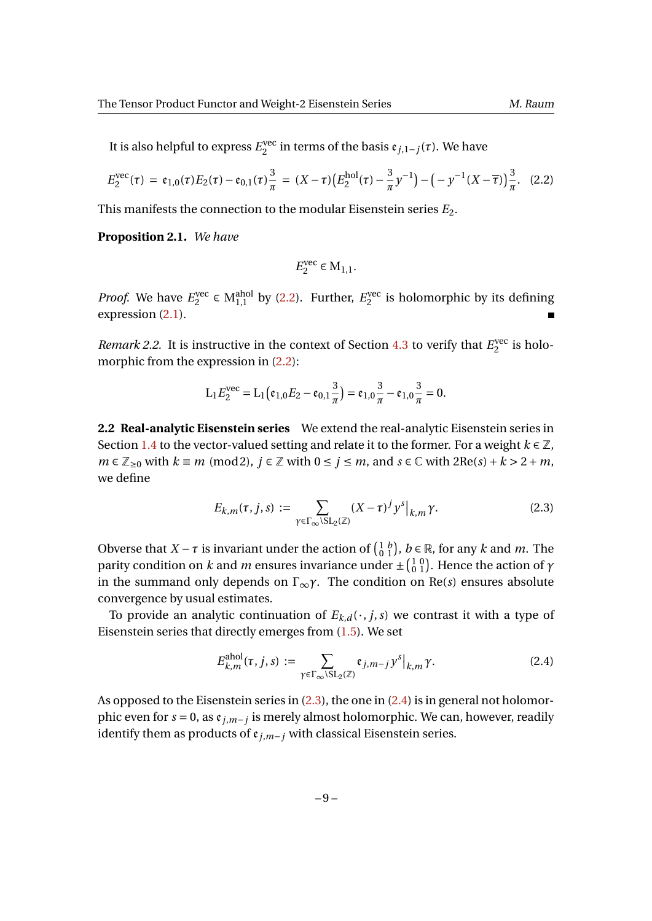It is also helpful to express  $E_2^{\text{vec}}$ 2 in terms of the basis e*<sup>j</sup>*,1−*j*(*τ*). We have

$$
E_2^{\text{vec}}(\tau) = \mathfrak{e}_{1,0}(\tau) E_2(\tau) - \mathfrak{e}_{0,1}(\tau) \frac{3}{\pi} = (X - \tau) \left( E_2^{\text{hol}}(\tau) - \frac{3}{\pi} y^{-1} \right) - \left( -y^{-1} (X - \overline{\tau}) \right) \frac{3}{\pi}.
$$
 (2.2)

This manifests the connection to the modular Eisenstein series *E*2.

**Proposition 2.1.** *We have*

<span id="page-8-0"></span>
$$
E_2^{\text{vec}} \in M_{1,1}.
$$

*Proof.* We have  $E_2^{\text{vec}}$  $e^{vec} \in M_{1,1}^{\text{ahol}}$  by [\(2.2\)](#page-8-0). Further,  $E_2^{\text{vec}}$  $2^{\text{vec}}$  is holomorphic by its defining expression [\(2.1\)](#page-7-1).

*Remark 2.2.* It is instructive in the context of Section [4.3](#page-16-1) to verify that  $E_2^{\text{vec}}$  $2^{\text{vec}}$  is holomorphic from the expression in  $(2.2)$ :

$$
L_1 E_2^{\text{vec}} = L_1 (\mathfrak{e}_{1,0} E_2 - \mathfrak{e}_{0,1} \frac{3}{\pi}) = \mathfrak{e}_{1,0} \frac{3}{\pi} - \mathfrak{e}_{1,0} \frac{3}{\pi} = 0.
$$

<span id="page-8-1"></span>**2.2 Real-analytic Eisenstein series** We extend the real-analytic Eisenstein series in Section [1.4](#page-6-1) to the vector-valued setting and relate it to the former. For a weight  $k \in \mathbb{Z}$ , *m* ∈  $\mathbb{Z}_{\geq 0}$  with  $k \equiv m \pmod{2}$ ,  $j \in \mathbb{Z}$  with  $0 \leq j \leq m$ , and  $s \in \mathbb{C}$  with  $2\text{Re}(s) + k > 2 + m$ , we define

<span id="page-8-2"></span>
$$
E_{k,m}(\tau,j,s) := \sum_{\gamma \in \Gamma_{\infty} \backslash \mathrm{SL}_2(\mathbb{Z})} (X - \tau)^j y^s \big|_{k,m} \gamma.
$$
 (2.3)

Obverse that *X* − *τ* is invariant under the action of  $\begin{pmatrix} 1 & b \\ 0 & 1 \end{pmatrix}$ , *b* ∈ ℝ, for any *k* and *m*. The parity condition on *k* and *m* ensures invariance under  $\pm \left(\frac{1}{0}\frac{0}{1}\right)$ . Hence the action of  $\gamma$ in the summand only depends on  $\Gamma_{\infty} \gamma$ . The condition on Re(*s*) ensures absolute convergence by usual estimates.

To provide an analytic continuation of  $E_{k,d}(\cdot, j, s)$  we contrast it with a type of Eisenstein series that directly emerges from [\(1.5\)](#page-6-2). We set

<span id="page-8-3"></span>
$$
E_{k,m}^{\text{ahol}}(\tau, j, s) := \sum_{\gamma \in \Gamma_{\infty} \backslash \text{SL}_2(\mathbb{Z})} \mathfrak{e}_{j,m-j} y^s \big|_{k,m} \gamma.
$$
 (2.4)

As opposed to the Eisenstein series in  $(2.3)$ , the one in  $(2.4)$  is in general not holomorphic even for *s* = 0, as e*<sup>j</sup>*,*m*−*<sup>j</sup>* is merely almost holomorphic. We can, however, readily identify them as products of  $\varepsilon_{j,m-j}$  with classical Eisenstein series.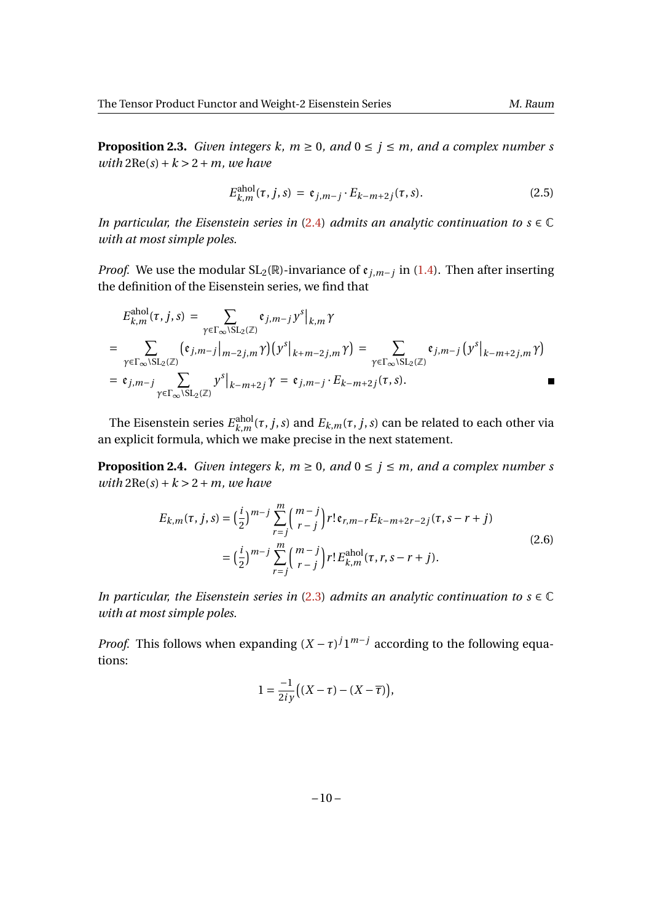**Proposition 2.3.** *Given integers k, m*  $\geq$  0*, and* 0  $\leq$  *j*  $\leq$  *m, and a complex number s*  $with$   $2Re(s) + k > 2 + m$ *, we have* 

$$
E_{k,m}^{\text{ahol}}(\tau, j, s) = \mathfrak{e}_{j,m-j} \cdot E_{k-m+2j}(\tau, s). \tag{2.5}
$$

*In particular, the Eisenstein series in*  $(2.4)$  *admits an analytic continuation to s*  $\in \mathbb{C}$ *with at most simple poles.*

*Proof.* We use the modular  $SL_2(\mathbb{R})$ -invariance of  $e_{j,m-j}$  in [\(1.4\)](#page-5-0). Then after inserting the definition of the Eisenstein series, we find that

$$
E_{k,m}^{\text{ahol}}(\tau, j, s) = \sum_{\gamma \in \Gamma_{\infty} \backslash \text{SL}_2(\mathbb{Z})} \mathfrak{e}_{j,m-j} y^s \big|_{k,m} \gamma
$$
  
= 
$$
\sum_{\gamma \in \Gamma_{\infty} \backslash \text{SL}_2(\mathbb{Z})} (\mathfrak{e}_{j,m-j} \big|_{m-2j,m} \gamma) (y^s \big|_{k+m-2j,m} \gamma) = \sum_{\gamma \in \Gamma_{\infty} \backslash \text{SL}_2(\mathbb{Z})} \mathfrak{e}_{j,m-j} (y^s \big|_{k-m+2j,m} \gamma)
$$
  
= 
$$
\mathfrak{e}_{j,m-j} \sum_{\gamma \in \Gamma_{\infty} \backslash \text{SL}_2(\mathbb{Z})} y^s \big|_{k-m+2j} \gamma = \mathfrak{e}_{j,m-j} \cdot E_{k-m+2j}(\tau, s).
$$

The Eisenstein series  $E_{k,m}^{\text{ahol}}$  $\lim_{k,m} (\tau,j,s)$  and  $E_{k,m}(\tau,j,s)$  can be related to each other via an explicit formula, which we make precise in the next statement.

**Proposition 2.4.** *Given integers k, m*  $\geq$  0*, and* 0  $\leq$  *j*  $\leq$  *m, and a complex number s with*  $2Re(s) + k > 2 + m$ *, we have* 

<span id="page-9-0"></span>
$$
E_{k,m}(\tau, j, s) = \left(\frac{i}{2}\right)^{m-j} \sum_{r=j}^{m} {m-j \choose r-j} r! \mathfrak{e}_{r,m-r} E_{k-m+2r-2j}(\tau, s-r+j)
$$
  

$$
= \left(\frac{i}{2}\right)^{m-j} \sum_{r=j}^{m} {m-j \choose r-j} r! E_{k,m}^{\text{ahol}}(\tau, r, s-r+j).
$$
 (2.6)

*In particular, the Eisenstein series in* [\(2.3\)](#page-8-2) *admits an analytic continuation to s*  $\in \mathbb{C}$ *with at most simple poles.*

*Proof.* This follows when expanding  $(X - \tau)^j 1^{m-j}$  according to the following equations:

$$
1 = \frac{-1}{2iy} \big( (X - \tau) - (X - \overline{\tau}) \big),
$$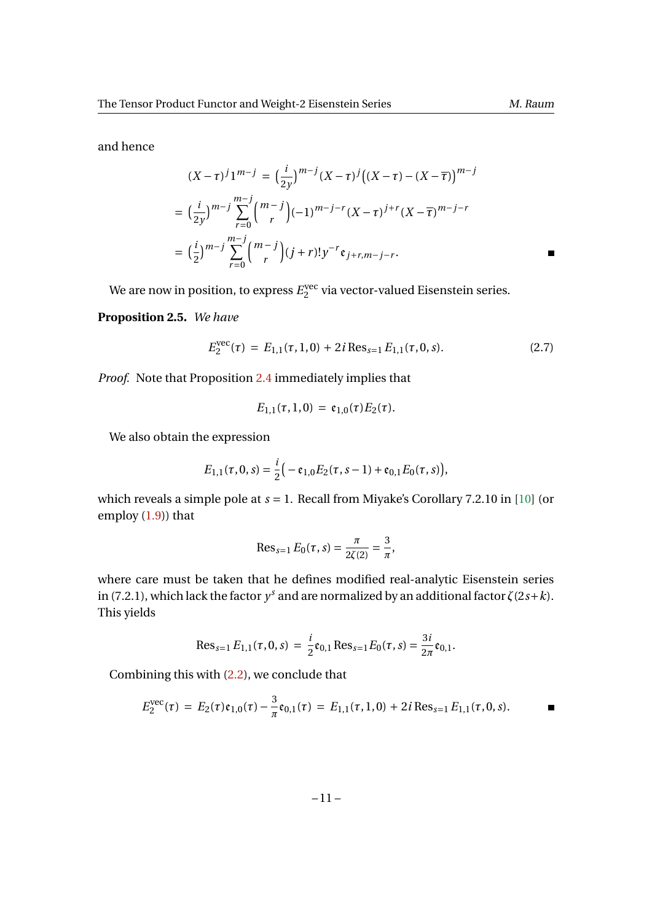and hence

$$
(X-\tau)^j 1^{m-j} = \left(\frac{i}{2y}\right)^{m-j} (X-\tau)^j \left((X-\tau) - (X-\overline{\tau})\right)^{m-j}
$$
  
= 
$$
\left(\frac{i}{2y}\right)^{m-j} \sum_{r=0}^{m-j} {m-j \choose r} (-1)^{m-j-r} (X-\tau)^{j+r} (X-\overline{\tau})^{m-j-r}
$$
  
= 
$$
\left(\frac{i}{2}\right)^{m-j} \sum_{r=0}^{m-j} {m-j \choose r} (j+r)! y^{-r} \mathfrak{e}_{j+r,m-j-r}.
$$

We are now in position, to express  $E_2^{\rm vec}$  $2^{\text{vec}}$  via vector-valued Eisenstein series.

### **Proposition 2.5.** *We have*

$$
E_2^{\text{vec}}(\tau) = E_{1,1}(\tau, 1, 0) + 2i \operatorname{Res}_{s=1} E_{1,1}(\tau, 0, s).
$$
 (2.7)

*Proof.* Note that Proposition [2.4](#page-9-0) immediately implies that

$$
E_{1,1}(\tau,1,0) = \mathfrak{e}_{1,0}(\tau)E_2(\tau).
$$

We also obtain the expression

$$
E_{1,1}(\tau,0,s) = \frac{i}{2} \big(-\mathfrak{e}_{1,0} E_2(\tau,s-1) + \mathfrak{e}_{0,1} E_0(\tau,s)\big),
$$

which reveals a simple pole at *s* = 1. Recall from Miyake's Corollary 7.2.10 in [\[10\]](#page-19-11) (or employ [\(1.9\)](#page-7-2)) that

$$
\text{Res}_{s=1} E_0(\tau, s) = \frac{\pi}{2\zeta(2)} = \frac{3}{\pi},
$$

where care must be taken that he defines modified real-analytic Eisenstein series in (7.2.1), which lack the factor  $y<sup>s</sup>$  and are normalized by an additional factor  $ζ(2s+k)$ . This yields

$$
\operatorname{Res}_{s=1} E_{1,1}(\tau, 0, s) = \frac{i}{2} \mathfrak{e}_{0,1} \operatorname{Res}_{s=1} E_0(\tau, s) = \frac{3i}{2\pi} \mathfrak{e}_{0,1}.
$$

Combining this with [\(2.2\)](#page-8-0), we conclude that

$$
E_2^{\text{vec}}(\tau) = E_2(\tau) \mathfrak{e}_{1,0}(\tau) - \frac{3}{\pi} \mathfrak{e}_{0,1}(\tau) = E_{1,1}(\tau, 1, 0) + 2i \operatorname{Res}_{s=1} E_{1,1}(\tau, 0, s).
$$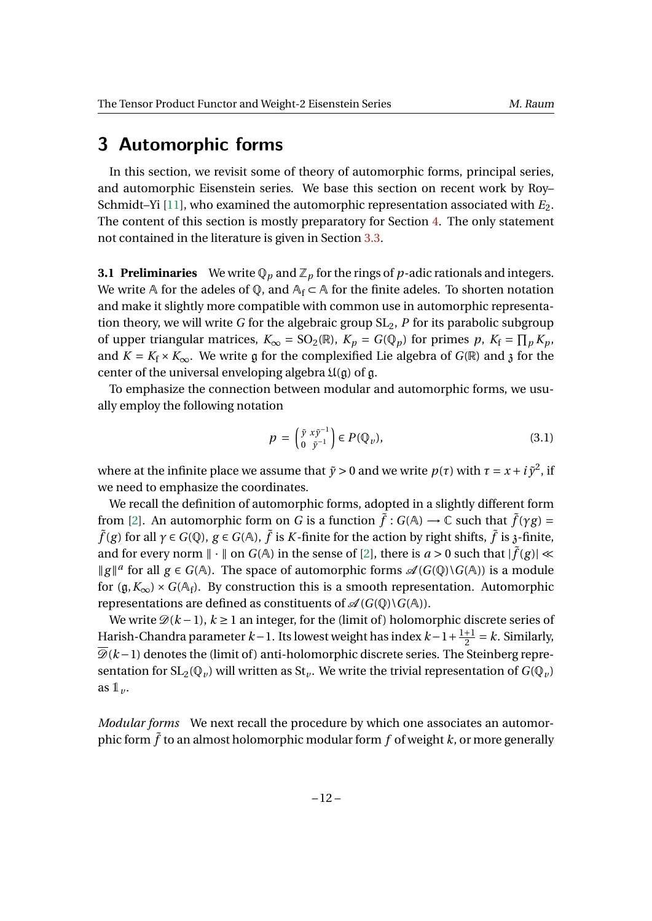<span id="page-11-0"></span>In this section, we revisit some of theory of automorphic forms, principal series, and automorphic Eisenstein series. We base this section on recent work by Roy– Schmidt–Yi [\[11\]](#page-19-6), who examined the automorphic representation associated with  $E_2$ . The content of this section is mostly preparatory for Section [4.](#page-14-0) The only statement not contained in the literature is given in Section [3.3.](#page-13-0)

<span id="page-11-2"></span>**3.1 Preliminaries** We write  $\mathbb{Q}_p$  and  $\mathbb{Z}_p$  for the rings of *p*-adic rationals and integers. We write A for the adeles of Q, and  $A_f \subset A$  for the finite adeles. To shorten notation and make it slightly more compatible with common use in automorphic representation theory, we will write *G* for the algebraic group  $SL_2$ , *P* for its parabolic subgroup of upper triangular matrices,  $K_{\infty} = SO_2(\mathbb{R})$ ,  $K_p = G(\mathbb{Q}_p)$  for primes p,  $K_f = \prod_p K_p$ , and  $K = K_f \times K_\infty$ . We write g for the complexified Lie algebra of  $G(\mathbb{R})$  and  $\chi$  for the center of the universal enveloping algebra  $\mathfrak{U}(\mathfrak{g})$  of  $\mathfrak{g}$ .

To emphasize the connection between modular and automorphic forms, we usually employ the following notation

<span id="page-11-1"></span>
$$
p = \begin{pmatrix} \tilde{y} & x\tilde{y}^{-1} \\ 0 & \tilde{y}^{-1} \end{pmatrix} \in P(\mathbb{Q}_{\nu}), \tag{3.1}
$$

where at the infinite place we assume that  $\tilde{y} > 0$  and we write  $p(\tau)$  with  $\tau = x + i \tilde{y}^2$ , if we need to emphasize the coordinates.

We recall the definition of automorphic forms, adopted in a slightly different form from [\[2\]](#page-19-12). An automorphic form on *G* is a function  $\tilde{f}: G(A) \to \mathbb{C}$  such that  $\tilde{f}(\gamma g) =$  $\tilde{f}(g)$  for all  $\gamma$  ∈  $G(\mathbb{Q})$ ,  $g \in G(\mathbb{A})$ ,  $\tilde{f}$  is *K*-finite for the action by right shifts,  $\tilde{f}$  is  $\chi$ -finite, and for every norm  $\|\cdot\|$  on  $G(A)$  in the sense of [\[2\]](#page-19-12), there is  $a > 0$  such that  $|\tilde{f}(g)| \ll$ *||g||<sup>a</sup>* for all *g* ∈ *G*( $A$ ). The space of automorphic forms  $\mathcal{A}(G(\mathbb{Q})\backslash G(A))$  is a module for  $(\mathfrak{g}, K_{\infty}) \times G(\mathbb{A}_{f})$ . By construction this is a smooth representation. Automorphic representations are defined as constituents of  $\mathcal{A}(G(\mathbb{Q})\backslash G(\mathbb{A}))$ .

We write  $\mathcal{D}(k-1)$ ,  $k \ge 1$  an integer, for the (limit of) holomorphic discrete series of Harish-Chandra parameter *k*−1. Its lowest weight has index *k*−1+ 1+1  $\frac{+1}{2}$  = *k*. Similarly,  $\overline{\mathcal{D}}(k-1)$  denotes the (limit of) anti-holomorphic discrete series. The Steinberg representation for  $SL_2(\mathbb{Q}_v)$  will written as  $St_v$ . We write the trivial representation of  $G(\mathbb{Q}_v)$ as  $1_{\nu}$ .

*Modular forms* We next recall the procedure by which one associates an automorphic form  $\tilde{f}$  to an almost holomorphic modular form  $f$  of weight  $k$ , or more generally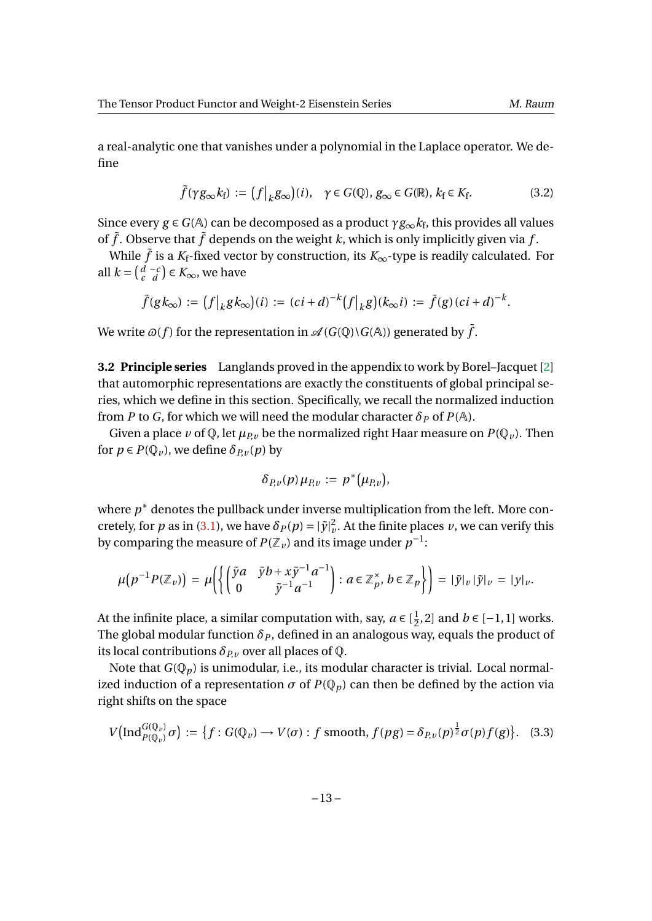a real-analytic one that vanishes under a polynomial in the Laplace operator. We define

$$
\tilde{f}(\gamma g_{\infty} k_{\mathbf{f}}) := (f|_{k} g_{\infty})(i), \quad \gamma \in G(\mathbb{Q}), g_{\infty} \in G(\mathbb{R}), k_{\mathbf{f}} \in K_{\mathbf{f}}.
$$
\n(3.2)

Since every  $g \in G(\mathbb{A})$  can be decomposed as a product  $\gamma g_{\infty} k_{\rm f}$ , this provides all values of  $\tilde{f}$ . Observe that  $\tilde{f}$  depends on the weight  $k$ , which is only implicitly given via  $f$ .

While  $\tilde{f}$  is a  $K_f$ -fixed vector by construction, its  $K_\infty$ -type is readily calculated. For all  $k = \begin{pmatrix} d & -c \\ c & d \end{pmatrix}$  ∈  $K_{\infty}$ , we have

$$
\tilde{f}(gk_{\infty}) := (f|_k g k_{\infty})(i) := (ci+d)^{-k} (f|_k g)(k_{\infty} i) := \tilde{f}(g)(ci+d)^{-k}.
$$

We write  $\varpi(f)$  for the representation in  $\mathscr{A}(G(\mathbb{Q})\backslash G(\mathbb{A}))$  generated by  $\tilde{f}$ .

**3.2 Principle series** Langlands proved in the appendix to work by Borel–Jacquet [\[2\]](#page-19-12) that automorphic representations are exactly the constituents of global principal series, which we define in this section. Specifically, we recall the normalized induction from *P* to *G*, for which we will need the modular character  $\delta_P$  of  $P(A)$ .

Given a place *v* of Q, let  $\mu_{p}$ , be the normalized right Haar measure on  $P(Q_v)$ . Then for  $p \in P(\mathbb{Q}_v)$ , we define  $\delta_{P,v}(p)$  by

$$
\delta_{P,\nu}(p)\,\mu_{P,\nu}:=p^*(\mu_{P,\nu}),
$$

where  $p^*$  denotes the pullback under inverse multiplication from the left. More concretely, for *p* as in [\(3.1\)](#page-11-1), we have  $\delta_P(p) = |\tilde{y}|_v^2$ . At the finite places *v*, we can verify this by comparing the measure of  $P(\mathbb{Z}_v)$  and its image under  $p^{-1}$ :

$$
\mu\big(p^{-1}P(\mathbb{Z}_v)\big)=\mu\bigg(\bigg\{\bigg(\begin{matrix} \tilde{y}a & \tilde{y}b+x\tilde{y}^{-1}a^{-1}\\ 0 & \tilde{y}^{-1}a^{-1}\end{matrix}\bigg): a\in\mathbb{Z}_p^\times,\, b\in\mathbb{Z}_p\bigg\}\bigg)=\,|\tilde{y}|_v\,|\tilde{y}|_v\,=\,|y|_v.
$$

At the infinite place, a similar computation with, say,  $a \in [\frac{1}{2}]$  $\frac{1}{2}$ , 2] and *b* ∈ [−1, 1] works. The global modular function  $\delta_p$ , defined in an analogous way, equals the product of its local contributions  $\delta_{P_v}$  over all places of  $\mathbb{Q}$ .

Note that  $G(\mathbb{Q}_p)$  is unimodular, i.e., its modular character is trivial. Local normalized induction of a representation  $\sigma$  of  $P(\mathbb{Q}_p)$  can then be defined by the action via right shifts on the space

$$
V\big(\text{Ind}_{P(\mathbb{Q}_v)}^{G(\mathbb{Q}_v)}\sigma\big) := \big\{f: G(\mathbb{Q}_v) \to V(\sigma) : f \text{ smooth}, f(pg) = \delta_{P,v}(p)^{\frac{1}{2}}\sigma(p)f(g)\big\}. \tag{3.3}
$$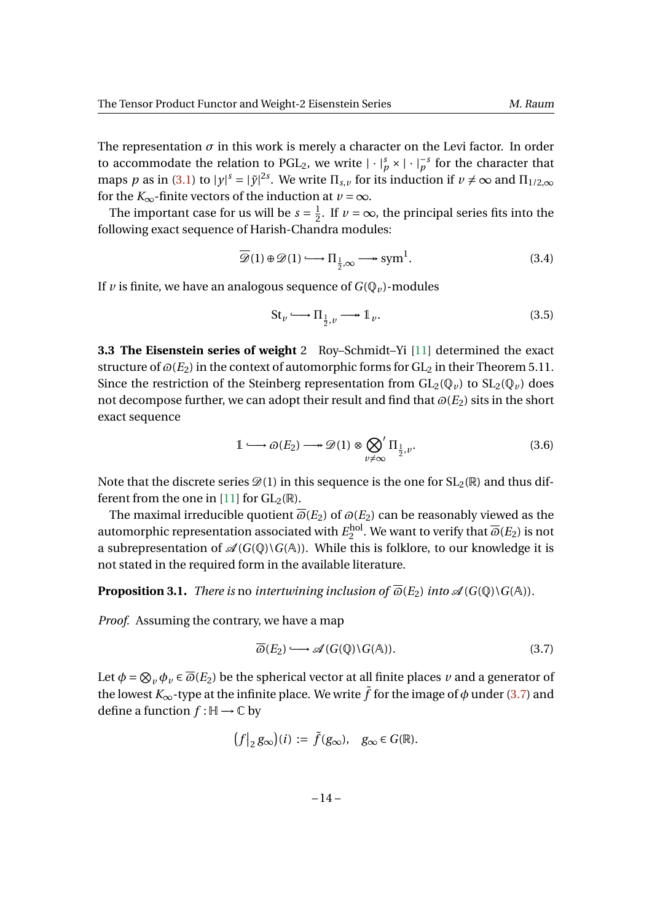The representation  $\sigma$  in this work is merely a character on the Levi factor. In order to accommodate the relation to PGL<sub>2</sub>, we write  $|\cdot|_p^s \times |\cdot|_p^{-s}$  for the character that maps *p* as in [\(3.1\)](#page-11-1) to  $|y|^s = |\tilde{y}|^{2s}$ . We write  $\Pi_{s,v}$  for its induction if  $v \neq \infty$  and  $\Pi_{1/2,\infty}$ for the  $K_{\infty}$ -finite vectors of the induction at  $v = \infty$ .

The important case for us will be  $s = \frac{1}{2}$  $\frac{1}{2}$ . If *v* =  $\infty$ , the principal series fits into the following exact sequence of Harish-Chandra modules:

$$
\overline{\mathscr{D}}(1) \oplus \mathscr{D}(1) \longrightarrow \Pi_{\frac{1}{2}, \infty} \longrightarrow \text{sym}^1.
$$
 (3.4)

If *v* is finite, we have an analogous sequence of  $G(\mathbb{Q}_v)$ -modules

<span id="page-13-2"></span>
$$
\text{St}_v \longrightarrow \Pi_{\frac{1}{2},v} \longrightarrow \mathbb{1}_v. \tag{3.5}
$$

<span id="page-13-0"></span>**3.3 The Eisenstein series of weight** 2 Roy–Schmidt–Yi [\[11\]](#page-19-6) determined the exact structure of  $\varpi(E_2)$  in the context of automorphic forms for  $GL_2$  in their Theorem 5.11. Since the restriction of the Steinberg representation from  $GL_2(\mathbb{Q}_v)$  to  $SL_2(\mathbb{Q}_v)$  does not decompose further, we can adopt their result and find that  $\omega(E_2)$  sits in the short exact sequence

$$
1 \longrightarrow \omega(E_2) \longrightarrow \mathscr{D}(1) \otimes \bigotimes_{v \neq \infty} \Pi_{\frac{1}{2},v}.
$$
 (3.6)

Note that the discrete series  $\mathscr{D}(1)$  in this sequence is the one for  $SL_2(\mathbb{R})$  and thus dif-ferent from the one in [\[11\]](#page-19-6) for  $GL_2(\mathbb{R})$ .

The maximal irreducible quotient  $\overline{\omega}(E_2)$  of  $\omega(E_2)$  can be reasonably viewed as the automorphic representation associated with  $E_2^{\rm hol}$  $\frac{2^{n}}{2}$ . We want to verify that  $\overline{\omega}(E_2)$  is not a subrepresentation of  $\mathcal{A}(G(\mathbb{Q})\backslash G(\mathbb{A}))$ . While this is folklore, to our knowledge it is not stated in the required form in the available literature.

**Proposition 3.1.** *There is* no *intertwining inclusion of*  $\overline{\omega}(E_2)$  *into*  $\mathcal{A}(G(\mathbb{Q})\backslash G(\mathbb{A}))$ *.* 

*Proof.* Assuming the contrary, we have a map

<span id="page-13-1"></span>
$$
\overline{\omega}(E_2) \longrightarrow \mathscr{A}(G(\mathbb{Q}) \backslash G(\mathbb{A})). \tag{3.7}
$$

Let  $\phi = \bigotimes_v \phi_v \in \overline{\omega}(E_2)$  be the spherical vector at all finite places  $v$  and a generator of the lowest  $K_{\infty}$ -type at the infinite place. We write  $\tilde{f}$  for the image of  $\phi$  under [\(3.7\)](#page-13-1) and define a function  $f : \mathbb{H} \to \mathbb{C}$  by

$$
\big(f\big|_2 g_\infty\big)(i) := \tilde{f}(g_\infty), \quad g_\infty \in G(\mathbb{R}).
$$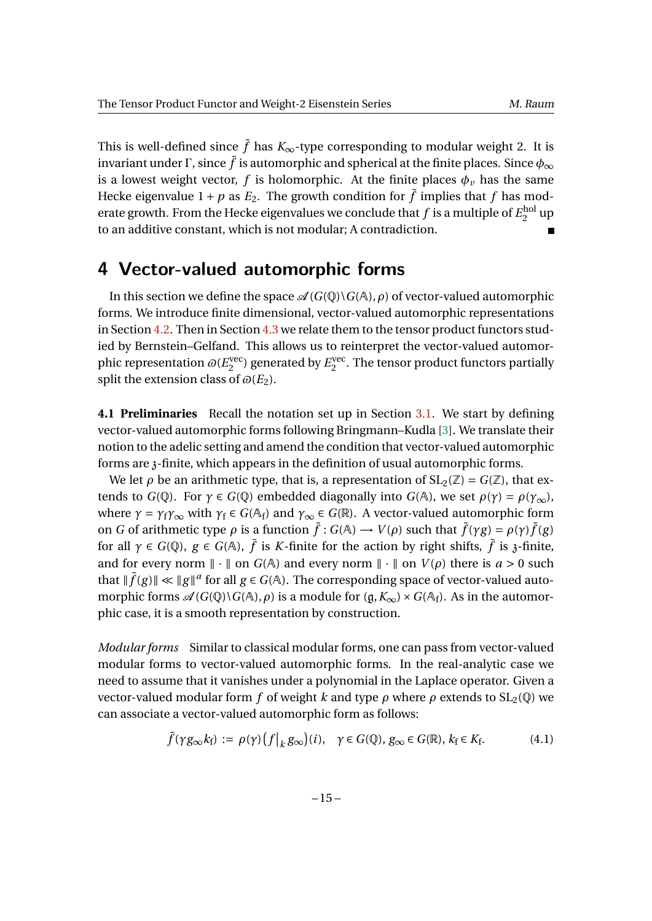This is well-defined since  $\tilde{f}$  has  $K_{\infty}$ -type corresponding to modular weight 2. It is invariant under Γ, since  $\tilde{f}$  is automorphic and spherical at the finite places. Since  $\phi_{\infty}$ is a lowest weight vector, *f* is holomorphic. At the finite places  $\phi_{\nu}$  has the same Hecke eigenvalue  $1 + p$  as  $E_2$ . The growth condition for  $\tilde{f}$  implies that  $f$  has moderate growth. From the Hecke eigenvalues we conclude that  $f$  is a multiple of  $E_2^{\text{hol}}$ <sup>noi</sup> up to an additive constant, which is not modular; A contradiction.

## <span id="page-14-0"></span>**4 Vector-valued automorphic forms**

In this section we define the space  $\mathcal{A}(G(\mathbb{Q})\backslash G(\mathbb{A}), \rho)$  of vector-valued automorphic forms. We introduce finite dimensional, vector-valued automorphic representations in Section [4.2.](#page-15-1) Then in Section [4.3](#page-16-1) we relate them to the tensor product functors studied by Bernstein–Gelfand. This allows us to reinterpret the vector-valued automorphic representation  $\varpi(E_2^{\text{vec}})$  $E_2^{\text{vec}}$ ) generated by  $E_2^{\text{vec}}$  $_2^{\text{vec}}$ . The tensor product functors partially split the extension class of  $\varpi(E_2)$ .

**4.1 Preliminaries** Recall the notation set up in Section [3.1.](#page-11-2) We start by defining vector-valued automorphic forms following Bringmann–Kudla [\[3\]](#page-19-3). We translate their notion to the adelic setting and amend the condition that vector-valued automorphic forms are z-finite, which appears in the definition of usual automorphic forms.

We let  $\rho$  be an arithmetic type, that is, a representation of  $SL_2(\mathbb{Z}) = G(\mathbb{Z})$ , that extends to *G*( $\mathbb{Q}$ ). For  $\gamma \in G(\mathbb{Q})$  embedded diagonally into *G*( $\mathbb{A}$ ), we set  $\rho(\gamma) = \rho(\gamma_{\infty})$ , where  $\gamma = \gamma_f \gamma_\infty$  with  $\gamma_f \in G(\mathbb{A}_f)$  and  $\gamma_\infty \in G(\mathbb{R})$ . A vector-valued automorphic form **on** *G* of arithmetic type *ρ* is a function  $\tilde{f}$  ∶ *G*(A) → *V*(*ρ*) such that  $\tilde{f}(\gamma g) = \rho(\gamma)\tilde{f}(g)$ for all  $\gamma \in G(\mathbb{Q})$ ,  $g \in G(\mathbb{A})$ ,  $\tilde{f}$  is *K*-finite for the action by right shifts,  $\tilde{f}$  is  $\tilde{f}$ -finite, and for every norm  $\|\cdot\|$  on  $G(A)$  and every norm  $\|\cdot\|$  on  $V(\rho)$  there is  $a > 0$  such that  $\|\tilde{f}(g)\| \ll \|g\|^a$  for all  $g \in G(A)$ . The corresponding space of vector-valued automorphic forms  $\mathscr{A}(G(\mathbb{Q})\backslash G(\mathbb{A}), \rho)$  is a module for  $(\mathfrak{g}, K_{\infty}) \times G(\mathbb{A}_f)$ . As in the automorphic case, it is a smooth representation by construction.

*Modular forms* Similar to classical modular forms, one can pass from vector-valued modular forms to vector-valued automorphic forms. In the real-analytic case we need to assume that it vanishes under a polynomial in the Laplace operator. Given a vector-valued modular form *f* of weight *k* and type  $\rho$  where  $\rho$  extends to  $SL_2(\mathbb{Q})$  we can associate a vector-valued automorphic form as follows:

$$
\tilde{f}(\gamma g_{\infty} k_{\rm f}) := \rho(\gamma) \left( f \big|_{k} g_{\infty} \right) (i), \quad \gamma \in G(\mathbb{Q}), g_{\infty} \in G(\mathbb{R}), k_{\rm f} \in K_{\rm f}.
$$
 (4.1)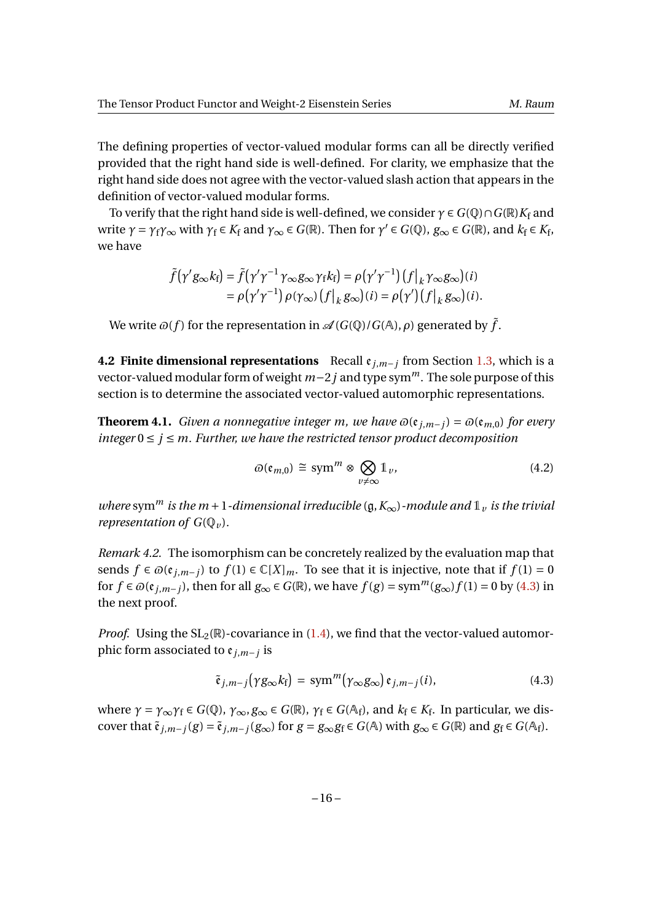The defining properties of vector-valued modular forms can all be directly verified provided that the right hand side is well-defined. For clarity, we emphasize that the right hand side does not agree with the vector-valued slash action that appears in the definition of vector-valued modular forms.

To verify that the right hand side is well-defined, we consider  $\gamma \in G(\mathbb{Q}) \cap G(\mathbb{R})K_f$  and write  $\gamma = \gamma_f \gamma_\infty$  with  $\gamma_f \in K_f$  and  $\gamma_\infty \in G(\mathbb{R})$ . Then for  $\gamma' \in G(\mathbb{Q})$ ,  $g_\infty \in G(\mathbb{R})$ , and  $k_f \in K_f$ , we have

$$
\tilde{f}(\gamma' g_{\infty} k_{\rm f}) = \tilde{f}(\gamma' \gamma^{-1} \gamma_{\infty} g_{\infty} \gamma_{\rm f} k_{\rm f}) = \rho(\gamma' \gamma^{-1}) (f|_{k} \gamma_{\infty} g_{\infty}) (i)
$$
  
=  $\rho(\gamma' \gamma^{-1}) \rho(\gamma_{\infty}) (f|_{k} g_{\infty}) (i) = \rho(\gamma') (f|_{k} g_{\infty}) (i).$ 

We write  $\varpi(f)$  for the representation in  $\mathscr{A}(G(\mathbb{Q})/G(\mathbb{A}), \rho)$  generated by  $\tilde{f}$ .

<span id="page-15-1"></span>**4.2 Finite dimensional representations** Recall e*<sup>j</sup>*,*m*−*<sup>j</sup>* from Section [1.3,](#page-5-1) which is a vector-valued modular form of weight *m*−2*j* and type sym*m*. The sole purpose of this section is to determine the associated vector-valued automorphic representations.

<span id="page-15-0"></span>**Theorem 4.1.** *Given a nonnegative integer m, we have*  $\omega(\mathfrak{e}_{i,m-j}) = \omega(\mathfrak{e}_{m,0})$  *for every integer*  $0 \le i \le m$ . Further, we have the restricted tensor product decomposition

$$
\varpi(\mathfrak{e}_{m,0}) \cong \operatorname{sym}^m \otimes \bigotimes_{v \neq \infty} \mathbb{1}_v, \tag{4.2}
$$

*where* sym<sup>*m*</sup> *is the m* + 1*-dimensional irreducible* ( $\mathfrak{g}, K_{\infty}$ *)-module and*  $\mathfrak{1}_v$  *is the trivial representation of*  $G(\mathbb{Q}_{\nu})$ *.* 

*Remark 4.2.* The isomorphism can be concretely realized by the evaluation map that sends *f* ∈  $\varpi(\mathfrak{e}_{i,m-j})$  to *f*(1) ∈  $\mathbb{C}[X]_m$ . To see that it is injective, note that if *f*(1) = 0 for *f* ∈  $\omega$ ( $e$ <sub>*i*,*m*−*j*</sub>), then for all  $g_{\infty}$  ∈  $G(\mathbb{R})$ , we have  $f(g) = \text{sym}^m(g_{\infty}) f(1) = 0$  by [\(4.3\)](#page-15-2) in the next proof.

*Proof.* Using the  $SL_2(\mathbb{R})$ -covariance in [\(1.4\)](#page-5-0), we find that the vector-valued automorphic form associated to e*<sup>j</sup>*,*m*−*<sup>j</sup>* is

<span id="page-15-2"></span>
$$
\tilde{\mathfrak{e}}_{j,m-j}(\gamma g_{\infty}k_{\mathfrak{f}}) = \text{sym}^m(\gamma_{\infty}g_{\infty})\,\mathfrak{e}_{j,m-j}(i),\tag{4.3}
$$

where  $\gamma = \gamma_{\infty} \gamma_f \in G(\mathbb{Q})$ ,  $\gamma_{\infty}, g_{\infty} \in G(\mathbb{R})$ ,  $\gamma_f \in G(\mathbb{A}_f)$ , and  $k_f \in K_f$ . In particular, we discover that  $\tilde{\mathfrak{e}}_{j,m-j}(g) = \tilde{\mathfrak{e}}_{j,m-j}(g_\infty)$  for  $g = g_\infty g_f \in G(\mathbb{A})$  with  $g_\infty \in G(\mathbb{R})$  and  $g_f \in G(\mathbb{A}_f)$ .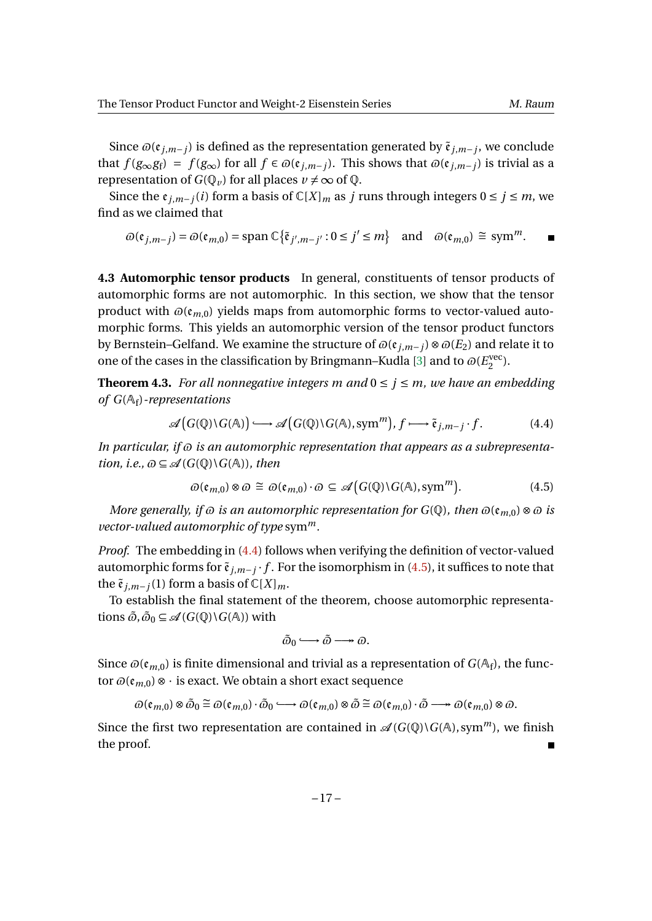Since  $\varpi(\mathfrak{e}_{j,m-j})$  is defined as the representation generated by  $\tilde{\mathfrak{e}}_{j,m-j}$ , we conclude that *f* (*g*∞*gf*) = *f* (*g*∞) for all *f* ∈  $\varpi$ ( $e_j$ <sub>*j,m*−*j*</sub>). This shows that  $\varpi$ ( $e_j$ <sub>*j,m*−*j*) is trivial as a</sub> representation of  $G(\mathbb{Q}_v)$  for all places  $v \neq \infty$  of  $\mathbb{Q}$ .

Since the  $\varepsilon$ <sub>*i,m−j*(*i*) form a basis of  $\mathbb{C}[X]_m$  as *j* runs through integers  $0 \le j \le m$ , we</sub> find as we claimed that

$$
\varpi(\mathfrak{e}_{j,m-j}) = \varpi(\mathfrak{e}_{m,0}) = \operatorname{span} \mathbb{C}\big\{\tilde{\mathfrak{e}}_{j',m-j'} : 0 \le j' \le m\big\} \quad \text{and} \quad \varpi(\mathfrak{e}_{m,0}) \cong \operatorname{sym}^m. \qquad \blacksquare
$$

<span id="page-16-1"></span>**4.3 Automorphic tensor products** In general, constituents of tensor products of automorphic forms are not automorphic. In this section, we show that the tensor product with  $\omega(\mathfrak{e}_{m,0})$  yields maps from automorphic forms to vector-valued automorphic forms. This yields an automorphic version of the tensor product functors by Bernstein–Gelfand. We examine the structure of  $\omega(\mathfrak{e}_{i,m-j}) \otimes \omega(E_2)$  and relate it to one of the cases in the classification by Bringmann–Kudla [\[3\]](#page-19-3) and to  $\omega(E_{2}^{\text{vec}})$ vec).<br>2

<span id="page-16-0"></span>**Theorem 4.3.** For all nonnegative integers m and  $0 \le j \le m$ , we have an embedding *of G*(A<sup>f</sup> )*-representations*

$$
\mathscr{A}\big(G(\mathbb{Q})\backslash G(\mathbb{A})\big)\longrightarrow \mathscr{A}\big(G(\mathbb{Q})\backslash G(\mathbb{A}),\text{sym}^m\big),\,f\longmapsto \tilde{\mathfrak{e}}_{j,m-j}\cdot f. \tag{4.4}
$$

In particular, if  $\omega$  is an automorphic representation that appears as a subrepresenta*tion, i.e.,*  $\omega \subseteq \mathcal{A}(G(\mathbb{Q}) \setminus G(\mathbb{A}))$ *, then* 

$$
\varpi(\mathfrak{e}_{m,0}) \otimes \varpi \cong \varpi(\mathfrak{e}_{m,0}) \cdot \varpi \subseteq \mathscr{A}\big(G(\mathbb{Q}) \backslash G(\mathbb{A}), \text{sym}^m\big).
$$
 (4.5)

*More generally, if*  $\omega$  *is an automorphic representation for*  $G(\mathbb{Q})$ *, then*  $\omega(\mathfrak{e}_{m,0}) \otimes \omega$  *is vector-valued automorphic of type* sym*m.*

*Proof.* The embedding in [\(4.4\)](#page-16-2) follows when verifying the definition of vector-valued automorphic forms for  $\tilde{\mathfrak{e}}_{j,m-j}$  *f* . For the isomorphism in [\(4.5\)](#page-16-3), it suffices to note that the  $\tilde{\mathfrak{e}}_{i,m-i}(1)$  form a basis of  $\mathbb{C}[X]_m$ .

To establish the final statement of the theorem, choose automorphic representations  $\tilde{\omega}, \tilde{\omega}_0 \subseteq \mathcal{A}(G(\mathbb{Q}) \setminus G(\mathbb{A}))$  with

<span id="page-16-3"></span><span id="page-16-2"></span>
$$
\tilde{\varpi}_0 \longrightarrow \tilde{\varpi} \longrightarrow \varpi.
$$

Since  $\omega(\mathfrak{e}_{m,0})$  is finite dimensional and trivial as a representation of  $G(\mathbb{A}_f)$ , the functor  $\varpi(\mathfrak{e}_{m,0}) \otimes \cdot$  is exact. We obtain a short exact sequence

 $\omega(\mathfrak{e}_{m,0})\otimes\tilde{\omega}\cong\omega(\mathfrak{e}_{m,0})\cdot\tilde{\omega}\longrightarrow\omega(\mathfrak{e}_{m,0})\otimes\tilde{\omega}\cong\omega(\mathfrak{e}_{m,0})\cdot\tilde{\omega}\longrightarrow\omega(\mathfrak{e}_{m,0})\otimes\omega.$ 

Since the first two representation are contained in  $\mathcal{A}(G(\mathbb{Q})\backslash G(\mathbb{A}), \text{sym}^m)$ , we finish the proof.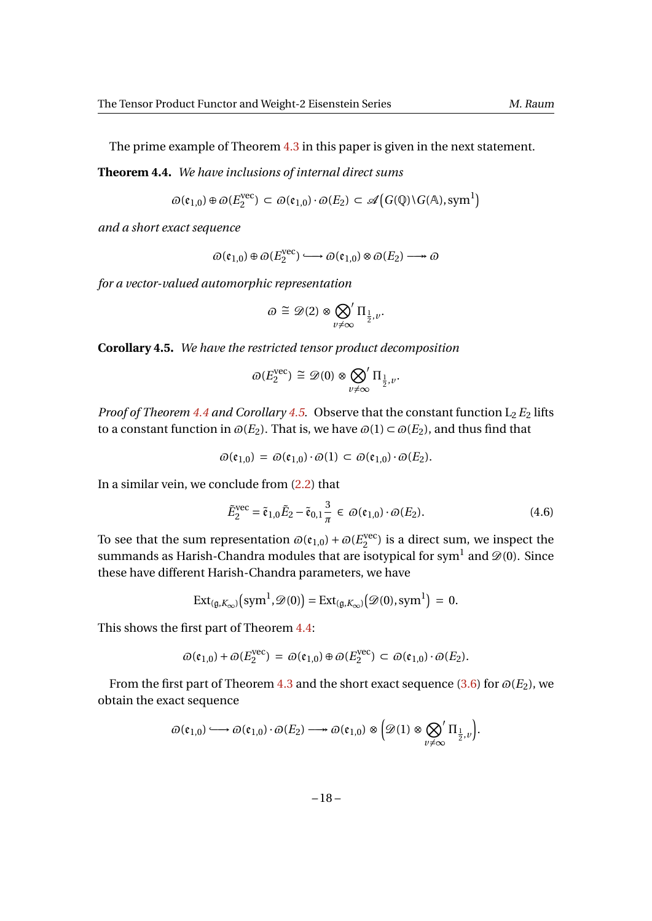The prime example of Theorem [4.3](#page-16-0) in this paper is given in the next statement.

**Theorem 4.4.** *We have inclusions of internal direct sums*

$$
\varpi(\mathfrak{e}_{1,0}) \oplus \varpi(E_2^{\text{vec}}) \subset \varpi(\mathfrak{e}_{1,0}) \cdot \varpi(E_2) \subset \mathscr{A}\big(G(\mathbb{Q}) \backslash G(\mathbb{A}), \text{sym}^1\big)
$$

*and a short exact sequence*

 $\omega$ ( $\mathfrak{e}_{1,0}$ ) ⊕  $\omega$ ( $E_2^{\text{vec}}$  $\mathcal{D}(\mathfrak{e}_{1,0}) \otimes \mathcal{D}(E_2) \longrightarrow \mathcal{D}(\mathfrak{e}_{1,0})$ 

*for a vector-valued automorphic representation*

<span id="page-17-0"></span>
$$
\varpi\cong \mathcal{D}(2)\otimes \bigotimes_{v\neq \infty}^{\prime}\Pi_{\frac{1}{2},v}.
$$

<span id="page-17-1"></span>**Corollary 4.5.** *We have the restricted tensor product decomposition*

$$
\varpi(E_2^{\text{vec}}) \ \widetilde{=} \ \mathscr{D}(0) \otimes \bigotimes_{v \neq \infty} \Pi_{\frac{1}{2},v}.
$$

*Proof of Theorem [4.4](#page-17-0) and Corollary [4.5.](#page-17-1)* Observe that the constant function  $L_2 E_2$  lifts to a constant function in  $\omega(E_2)$ . That is, we have  $\omega(1) \subset \omega(E_2)$ , and thus find that

$$
\varpi(\mathfrak{e}_{1,0}) = \varpi(\mathfrak{e}_{1,0}) \cdot \varpi(1) \subset \varpi(\mathfrak{e}_{1,0}) \cdot \varpi(E_2).
$$

In a similar vein, we conclude from [\(2.2\)](#page-8-0) that

<span id="page-17-2"></span>
$$
\tilde{E}_2^{\text{vec}} = \tilde{\mathfrak{e}}_{1,0} \tilde{E}_2 - \tilde{\mathfrak{e}}_{0,1} \frac{3}{\pi} \in \varpi(\mathfrak{e}_{1,0}) \cdot \varpi(E_2).
$$
\n(4.6)

To see that the sum representation  $\omega(\mathfrak{e}_{1,0}) + \omega(E_{2}^{\text{vec}})$  $_2^{\text{vec}}$ ) is a direct sum, we inspect the summands as Harish-Chandra modules that are isotypical for sym $^{\rm l}$  and  $\mathscr{D}(0)$ . Since these have different Harish-Chandra parameters, we have

$$
Ext_{(\mathfrak{g}, K_{\infty})}(\mathrm{sym}^1, \mathscr{D}(0)) = Ext_{(\mathfrak{g}, K_{\infty})}(\mathscr{D}(0), \mathrm{sym}^1) = 0.
$$

This shows the first part of Theorem [4.4:](#page-17-0)

$$
\varpi(\mathfrak{e}_{1,0}) + \varpi(E_2^{\text{vec}}) = \varpi(\mathfrak{e}_{1,0}) \oplus \varpi(E_2^{\text{vec}}) \subset \varpi(\mathfrak{e}_{1,0}) \cdot \varpi(E_2).
$$

From the first part of Theorem [4.3](#page-16-0) and the short exact sequence [\(3.6\)](#page-13-2) for  $\varpi(E_2)$ , we obtain the exact sequence

$$
\varpi(\mathfrak{e}_{1,0}) \longrightarrow \varpi(\mathfrak{e}_{1,0}) \cdot \varpi(E_2) \longrightarrow \varpi(\mathfrak{e}_{1,0}) \otimes \left(\mathfrak{D}(1) \otimes \bigotimes_{v \neq \infty} \Pi_{\frac{1}{2},v}\right).
$$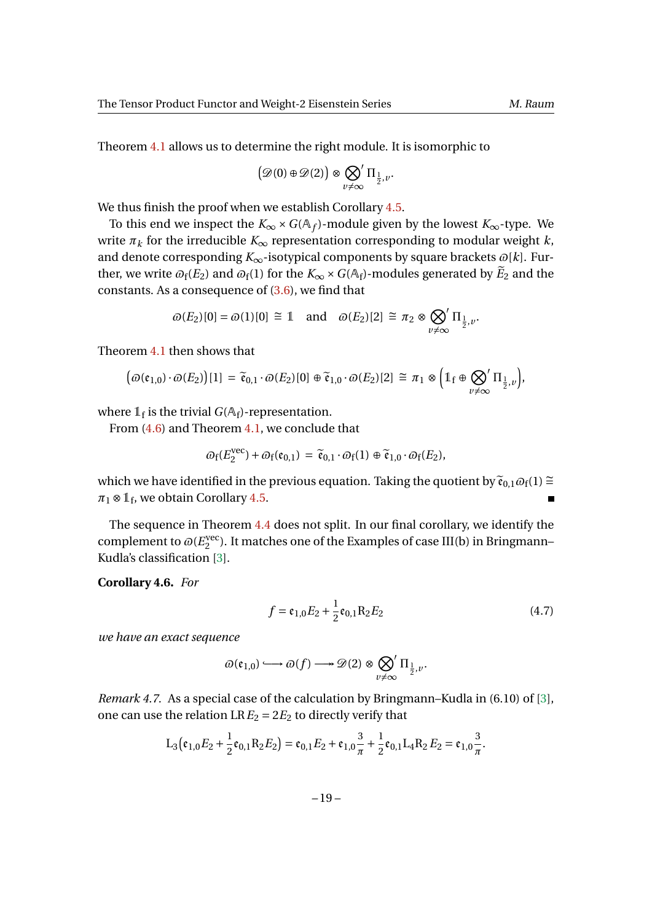Theorem [4.1](#page-15-0) allows us to determine the right module. It is isomorphic to

$$
\left(\mathcal{D}(0) \oplus \mathcal{D}(2)\right) \otimes \bigotimes_{v \neq \infty} \Pi_{\frac{1}{2},v}.
$$

We thus finish the proof when we establish Corollary [4.5.](#page-17-1)

To this end we inspect the  $K_{\infty} \times G(\mathbb{A}_f)$ -module given by the lowest  $K_{\infty}$ -type. We write  $\pi_k$  for the irreducible  $K_\infty$  representation corresponding to modular weight *k*, and denote corresponding  $K_{\infty}$ -isotypical components by square brackets  $\omega[k]$ . Further, we write  $\omega_f(E_2)$  and  $\omega_f(1)$  for the  $K_\infty \times G(A_f)$ -modules generated by  $\widetilde{E}_2$  and the constants. As a consequence of [\(3.6\)](#page-13-2), we find that

$$
\varpi(E_2)[0] = \varpi(1)[0] \cong 1
$$
 and  $\varpi(E_2)[2] \cong \pi_2 \otimes \bigotimes_{v \neq \infty} \Pi_{\frac{1}{2},v}$ .

Theorem [4.1](#page-15-0) then shows that

$$
\big(\varpi(\mathfrak{e}_{1,0})\cdot\varpi(E_2)\big)[1] = \widetilde{\mathfrak{e}}_{0,1}\cdot\varpi(E_2)[0] \oplus \widetilde{\mathfrak{e}}_{1,0}\cdot\varpi(E_2)[2] \cong \pi_1 \otimes \bigg(\mathbb{1}_{f} \oplus \bigotimes_{\nu \neq \infty} \Pi_{\frac{1}{2},\nu}\bigg),
$$

where  $\mathbb{1}_{\mathrm{f}}$  is the trivial  $G(\mathbb{A}_{\mathrm{f}})$ -representation.

From [\(4.6\)](#page-17-2) and Theorem [4.1,](#page-15-0) we conclude that vec

$$
\varpi_f(E_2^{\text{vec}}) + \varpi_f(\mathfrak{e}_{0,1}) = \widetilde{\mathfrak{e}}_{0,1} \cdot \varpi_f(1) \oplus \widetilde{\mathfrak{e}}_{1,0} \cdot \varpi_f(E_2),
$$

which we have identified in the previous equation. Taking the quotient by  $\tilde{\mathfrak{e}}_{0,1}\omega_f(1) \cong$  $\pi_1 \otimes \mathbb{1}_{\text{f}}$ , we obtain Corollary [4.5.](#page-17-1)  $\blacksquare$ 

The sequence in Theorem [4.4](#page-17-0) does not split. In our final corollary, we identify the complement to  $\varpi(E)$ <sup>vec</sup>  $_2^{\text{vec}}$ ). It matches one of the Examples of case III(b) in Bringmann– Kudla's classification [\[3\]](#page-19-3).

**Corollary 4.6.** *For*

<span id="page-18-0"></span>
$$
f = e_{1,0}E_2 + \frac{1}{2}e_{0,1}R_2E_2
$$
 (4.7)

*we have an exact sequence*

$$
\varpi(\mathfrak{e}_{1,0})\longrightarrow\varpi(f)\longrightarrow \mathscr{D}(2)\otimes\bigotimes_{v\neq\infty}^{\prime}\Pi_{\frac{1}{2},v}.
$$

*Remark 4.7.* As a special case of the calculation by Bringmann–Kudla in (6.10) of [\[3\]](#page-19-3), one can use the relation  $LRE_2 = 2E_2$  to directly verify that

$$
L_3(\mathfrak{e}_{1,0}E_2+\frac{1}{2}\mathfrak{e}_{0,1}R_2E_2)=\mathfrak{e}_{0,1}E_2+\mathfrak{e}_{1,0}\frac{3}{\pi}+\frac{1}{2}\mathfrak{e}_{0,1}L_4R_2E_2=\mathfrak{e}_{1,0}\frac{3}{\pi}.
$$